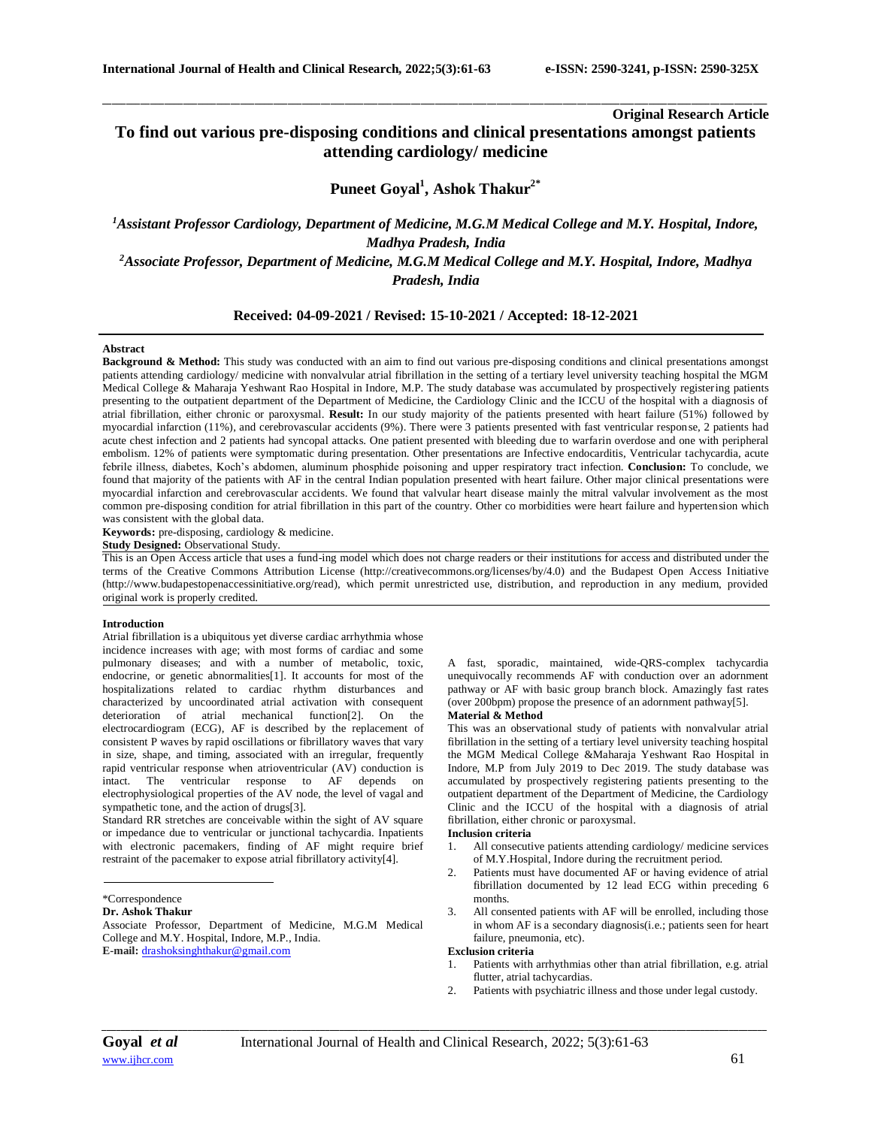**Original Research Article**

# **To find out various pre-disposing conditions and clinical presentations amongst patients attending cardiology/ medicine**

\_\_\_\_\_\_\_\_\_\_\_\_\_\_\_\_\_\_\_\_\_\_\_\_\_\_\_\_\_\_\_\_\_\_\_\_\_\_\_\_\_\_\_\_\_\_\_\_\_\_\_\_\_\_\_\_\_\_\_\_\_\_\_\_\_\_\_\_\_\_\_\_\_\_\_\_\_\_\_\_\_\_\_\_\_\_\_\_\_\_\_\_\_\_\_\_\_\_\_\_\_\_\_\_\_\_\_\_\_\_\_\_\_\_\_\_\_\_\_\_\_\_\_\_\_\_\_\_\_\_\_\_\_\_\_\_\_\_\_\_

## **Puneet Goyal<sup>1</sup> , Ashok Thakur2\***

## *<sup>1</sup>Assistant Professor Cardiology, Department of Medicine, M.G.M Medical College and M.Y. Hospital, Indore, Madhya Pradesh, India*

*<sup>2</sup>Associate Professor, Department of Medicine, M.G.M Medical College and M.Y. Hospital, Indore, Madhya Pradesh, India*

## **Received: 04-09-2021 / Revised: 15-10-2021 / Accepted: 18-12-2021**

## **Abstract**

**Background & Method:** This study was conducted with an aim to find out various pre-disposing conditions and clinical presentations amongst patients attending cardiology/ medicine with nonvalvular atrial fibrillation in the setting of a tertiary level university teaching hospital the MGM Medical College & Maharaja Yeshwant Rao Hospital in Indore, M.P. The study database was accumulated by prospectively registering patients presenting to the outpatient department of the Department of Medicine, the Cardiology Clinic and the ICCU of the hospital with a diagnosis of atrial fibrillation, either chronic or paroxysmal. **Result:** In our study majority of the patients presented with heart failure (51%) followed by myocardial infarction (11%), and cerebrovascular accidents (9%). There were 3 patients presented with fast ventricular response, 2 patients had acute chest infection and 2 patients had syncopal attacks. One patient presented with bleeding due to warfarin overdose and one with peripheral embolism. 12% of patients were symptomatic during presentation. Other presentations are Infective endocarditis, Ventricular tachycardia, acute febrile illness, diabetes, Koch's abdomen, aluminum phosphide poisoning and upper respiratory tract infection. **Conclusion:** To conclude, we found that majority of the patients with AF in the central Indian population presented with heart failure. Other major clinical presentations were myocardial infarction and cerebrovascular accidents. We found that valvular heart disease mainly the mitral valvular involvement as the most common pre-disposing condition for atrial fibrillation in this part of the country. Other co morbidities were heart failure and hypertension which was consistent with the global data.

**Keywords:** pre-disposing, cardiology & medicine.

**Study Designed:** Observational Study.

This is an Open Access article that uses a fund-ing model which does not charge readers or their institutions for access and distributed under the terms of the Creative Commons Attribution License (http://creativecommons.org/licenses/by/4.0) and the Budapest Open Access Initiative (http://www.budapestopenaccessinitiative.org/read), which permit unrestricted use, distribution, and reproduction in any medium, provided original work is properly credited.

## **Introduction**

Atrial fibrillation is a ubiquitous yet diverse cardiac arrhythmia whose incidence increases with age; with most forms of cardiac and some pulmonary diseases; and with a number of metabolic, toxic, endocrine, or genetic abnormalities[1]. It accounts for most of the hospitalizations related to cardiac rhythm disturbances and characterized by uncoordinated atrial activation with consequent deterioration of atrial mechanical function[2]. On the electrocardiogram (ECG), AF is described by the replacement of consistent P waves by rapid oscillations or fibrillatory waves that vary in size, shape, and timing, associated with an irregular, frequently rapid ventricular response when atrioventricular (AV) conduction is intact. The ventricular response to AF depends electrophysiological properties of the AV node, the level of vagal and sympathetic tone, and the action of drugs[3].

Standard RR stretches are conceivable within the sight of AV square or impedance due to ventricular or junctional tachycardia. Inpatients with electronic pacemakers, finding of AF might require brief restraint of the pacemaker to expose atrial fibrillatory activity[4].

\*Correspondence

**Dr. Ashok Thakur**

Associate Professor, Department of Medicine, M.G.M Medical College and M.Y. Hospital, Indore, M.P., India. **E-mail:** [drashoksinghthakur@gmail.com](mailto:drashoksinghthakur@gmail.com)

A fast, sporadic, maintained, wide-QRS-complex tachycardia unequivocally recommends AF with conduction over an adornment pathway or AF with basic group branch block. Amazingly fast rates (over 200bpm) propose the presence of an adornment pathway[5].

#### **Material & Method**

This was an observational study of patients with nonvalvular atrial fibrillation in the setting of a tertiary level university teaching hospital the MGM Medical College &Maharaja Yeshwant Rao Hospital in Indore, M.P from July 2019 to Dec 2019. The study database was accumulated by prospectively registering patients presenting to the outpatient department of the Department of Medicine, the Cardiology Clinic and the ICCU of the hospital with a diagnosis of atrial fibrillation, either chronic or paroxysmal.

## **Inclusion criteria**

- 1. All consecutive patients attending cardiology/ medicine services of M.Y.Hospital, Indore during the recruitment period.
- 2. Patients must have documented AF or having evidence of atrial fibrillation documented by 12 lead ECG within preceding 6 months.
- 3. All consented patients with AF will be enrolled, including those in whom AF is a secondary diagnosis(i.e.; patients seen for heart failure, pneumonia, etc).

#### **Exclusion criteria**

- 1. Patients with arrhythmias other than atrial fibrillation, e.g. atrial flutter, atrial tachycardias.
- 2. Patients with psychiatric illness and those under legal custody.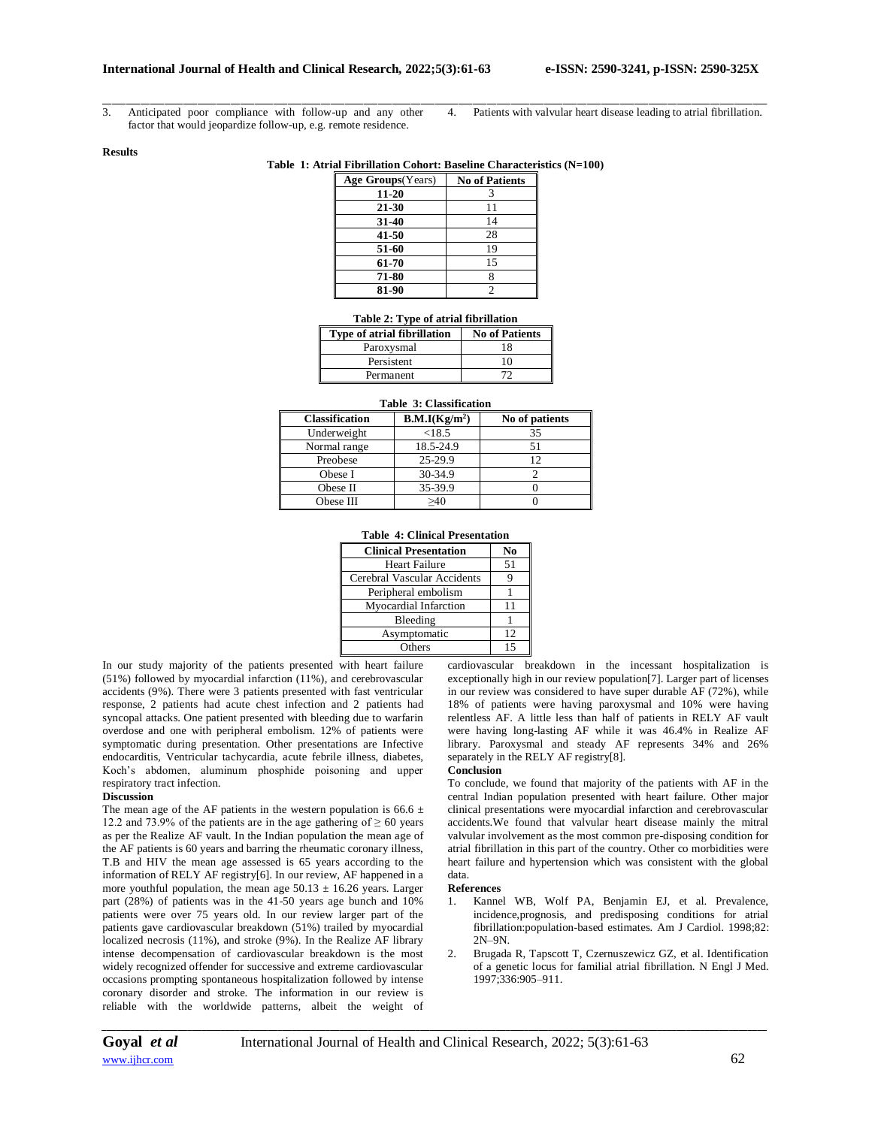3. Anticipated poor compliance with follow-up and any other factor that would jeopardize follow-up, e.g. remote residence.

\_\_\_\_\_\_\_\_\_\_\_\_\_\_\_\_\_\_\_\_\_\_\_\_\_\_\_\_\_\_\_\_\_\_\_\_\_\_\_\_\_\_\_\_\_\_\_\_\_\_\_\_\_\_\_\_\_\_\_\_\_\_\_\_\_\_\_\_\_\_\_\_\_\_\_\_\_\_\_\_\_\_\_\_\_\_\_\_\_\_\_\_\_\_\_\_\_\_\_\_\_\_\_\_\_\_\_\_\_\_\_\_\_\_\_\_\_\_\_\_\_\_\_\_\_\_\_\_\_\_\_\_\_\_\_\_\_\_\_\_ 4. Patients with valvular heart disease leading to atrial fibrillation.

#### **Results**

## **Table 1: Atrial Fibrillation Cohort: Baseline Characteristics (N=100)**

| Age Groups (Years) | <b>No of Patients</b> |
|--------------------|-----------------------|
| 11-20              |                       |
| 21-30              | 11                    |
| 31-40              | 14                    |
| 41-50              | 28                    |
| 51-60              | 19                    |
| 61-70              | 15                    |
| 71-80              |                       |
| 81-90              | っ                     |

| <b>Type of atrial fibrillation</b> | <b>No of Patients</b> |
|------------------------------------|-----------------------|
| Paroxysmal                         | 18                    |
| Persistent                         | 10                    |
| Permanent                          |                       |

#### **Table 3: Classification**

| <b>Classification</b> | B.M.I(Kg/m <sup>2</sup> ) | No of patients |
|-----------------------|---------------------------|----------------|
| Underweight           | < 18.5                    | 35             |
| Normal range          | 18.5-24.9                 |                |
| Preobese              | 25-29.9                   |                |
| Obese I               | 30-34.9                   |                |
| Obese II              | 35-39.9                   |                |
| Obese III             | $\sim$ 40                 |                |

## **Table 4: Clinical Presentation**

| <b>Clinical Presentation</b> | $\mathbf{N}_0$ |
|------------------------------|----------------|
| Heart Failure                | 51             |
| Cerebral Vascular Accidents  |                |
| Peripheral embolism          |                |
| <b>Myocardial Infarction</b> | 11             |
| Bleeding                     |                |
| Asymptomatic                 | 12             |
| Others                       | 15             |

In our study majority of the patients presented with heart failure (51%) followed by myocardial infarction (11%), and cerebrovascular accidents (9%). There were 3 patients presented with fast ventricular response, 2 patients had acute chest infection and 2 patients had syncopal attacks. One patient presented with bleeding due to warfarin overdose and one with peripheral embolism. 12% of patients were symptomatic during presentation. Other presentations are Infective endocarditis, Ventricular tachycardia, acute febrile illness, diabetes, Koch's abdomen, aluminum phosphide poisoning and upper respiratory tract infection.

## **Discussion**

The mean age of the AF patients in the western population is 66.6  $\pm$ 12.2 and 73.9% of the patients are in the age gathering of  $\geq 60$  years as per the Realize AF vault. In the Indian population the mean age of the AF patients is 60 years and barring the rheumatic coronary illness, T.B and HIV the mean age assessed is 65 years according to the information of RELY AF registry[6]. In our review, AF happened in a more youthful population, the mean age  $50.13 \pm 16.26$  years. Larger part (28%) of patients was in the 41-50 years age bunch and 10% patients were over 75 years old. In our review larger part of the patients gave cardiovascular breakdown (51%) trailed by myocardial localized necrosis (11%), and stroke (9%). In the Realize AF library intense decompensation of cardiovascular breakdown is the most widely recognized offender for successive and extreme cardiovascular occasions prompting spontaneous hospitalization followed by intense coronary disorder and stroke. The information in our review is reliable with the worldwide patterns, albeit the weight of

cardiovascular breakdown in the incessant hospitalization is exceptionally high in our review population[7]. Larger part of licenses in our review was considered to have super durable AF (72%), while 18% of patients were having paroxysmal and 10% were having relentless AF. A little less than half of patients in RELY AF vault were having long-lasting AF while it was 46.4% in Realize AF library. Paroxysmal and steady AF represents 34% and 26% separately in the RELY AF registry[8].

#### **Conclusion**

To conclude, we found that majority of the patients with AF in the central Indian population presented with heart failure. Other major clinical presentations were myocardial infarction and cerebrovascular accidents.We found that valvular heart disease mainly the mitral valvular involvement as the most common pre-disposing condition for atrial fibrillation in this part of the country. Other co morbidities were heart failure and hypertension which was consistent with the global data.

#### **References**

- 1. Kannel WB, Wolf PA, Benjamin EJ, et al. Prevalence, incidence,prognosis, and predisposing conditions for atrial fibrillation:population-based estimates. Am J Cardiol. 1998;82: 2N–9N.
- 2. Brugada R, Tapscott T, Czernuszewicz GZ, et al. Identification of a genetic locus for familial atrial fibrillation. N Engl J Med. 1997;336:905–911.